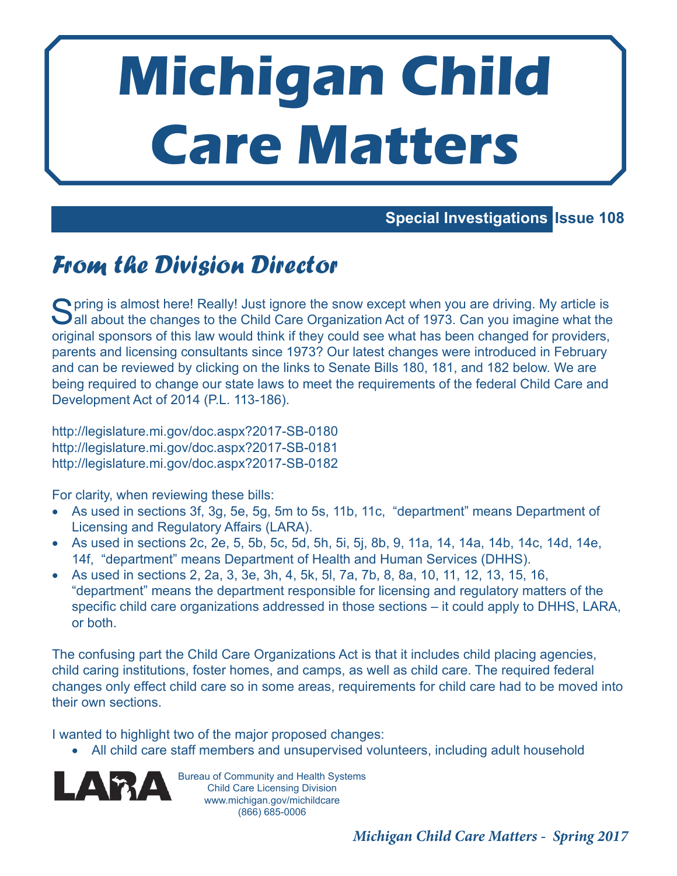# **Michigan Child Care Matters**

### **Special Investigations Issue 108**

## From the Division Director

S pring is almost here! Really! Just ignore the snow except when you are driving. My article is all about the changes to the Child Care Organization Act of 1973. Can you imagine what the **O** pring is almost here! Really! Just ignore the snow except when you are driving. My article is original sponsors of this law would think if they could see what has been changed for providers, parents and licensing consultants since 1973? Our latest changes were introduced in February and can be reviewed by clicking on the links to Senate Bills 180, 181, and 182 below. We are being required to change our state laws to meet the requirements of the federal Child Care and Development Act of 2014 (P.L. 113-186).

http://legislature.mi.gov/doc.aspx?2017-SB-0180 http://legislature.mi.gov/doc.aspx?2017-SB-0181 http://legislature.mi.gov/doc.aspx?2017-SB-0182

For clarity, when reviewing these bills:

- As used in sections 3f, 3g, 5e, 5g, 5m to 5s, 11b, 11c, "department" means Department of Licensing and Regulatory Affairs (LARA).
- As used in sections 2c, 2e, 5, 5b, 5c, 5d, 5h, 5i, 5j, 8b, 9, 11a, 14, 14a, 14b, 14c, 14d, 14e, 14f, "department" means Department of Health and Human Services (DHHS).
- As used in sections 2, 2a, 3, 3e, 3h, 4, 5k, 5l, 7a, 7b, 8, 8a, 10, 11, 12, 13, 15, 16, "department" means the department responsible for licensing and regulatory matters of the specific child care organizations addressed in those sections – it could apply to DHHS, LARA, or both.

The confusing part the Child Care Organizations Act is that it includes child placing agencies, child caring institutions, foster homes, and camps, as well as child care. The required federal changes only effect child care so in some areas, requirements for child care had to be moved into their own sections.

I wanted to highlight two of the major proposed changes:

• All child care staff members and unsupervised volunteers, including adult household



Bureau of Community and Health Systems Child Care Licensing Division www.michigan.gov/michildcare (866) 685-0006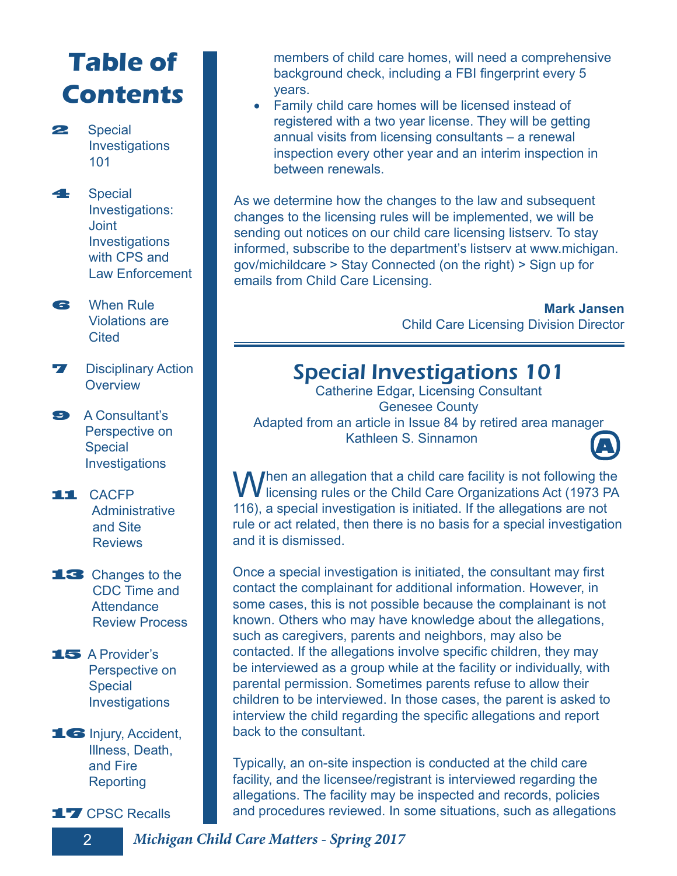# **Table of Contents**

2 Special Investigations 101

41 Special Investigations: **Joint**  Investigations with CPS and Law Enforcement

**6** When Rule Violations are **Cited** 

- **7** Disciplinary Action **Overview**
- 9 A Consultant's Perspective on **Special Investigations**
- 11 CACFP **Administrative**  and Site **Reviews**
- 13 Changes to the CDC Time and **Attendance** Review Process
- 15 A Provider's Perspective on **Special Investigations**
- 16 Injury, Accident, Illness, Death, and Fire **Reporting**

17 CPSC Recalls

members of child care homes, will need a comprehensive background check, including a FBI fingerprint every 5 years.

• Family child care homes will be licensed instead of registered with a two year license. They will be getting annual visits from licensing consultants – a renewal inspection every other year and an interim inspection in between renewals.

As we determine how the changes to the law and subsequent changes to the licensing rules will be implemented, we will be sending out notices on our child care licensing listserv. To stay informed, subscribe to the department's listserv at www.michigan. gov/michildcare > Stay Connected (on the right) > Sign up for emails from Child Care Licensing.

> **Mark Jansen** Child Care Licensing Division Director

### Special Investigations 101

Catherine Edgar, Licensing Consultant Genesee County Adapted from an article in Issue 84 by retired area manager Kathleen S. Sinnamon **A**



When an allegation that a child care facility is not following the licensing rules or the Child Care Organizations Act (1973 PA 116), a special investigation is initiated. If the allegations are not rule or act related, then there is no basis for a special investigation and it is dismissed.

Once a special investigation is initiated, the consultant may first contact the complainant for additional information. However, in some cases, this is not possible because the complainant is not known. Others who may have knowledge about the allegations, such as caregivers, parents and neighbors, may also be contacted. If the allegations involve specific children, they may be interviewed as a group while at the facility or individually, with parental permission. Sometimes parents refuse to allow their children to be interviewed. In those cases, the parent is asked to interview the child regarding the specific allegations and report back to the consultant.

Typically, an on-site inspection is conducted at the child care facility, and the licensee/registrant is interviewed regarding the allegations. The facility may be inspected and records, policies and procedures reviewed. In some situations, such as allegations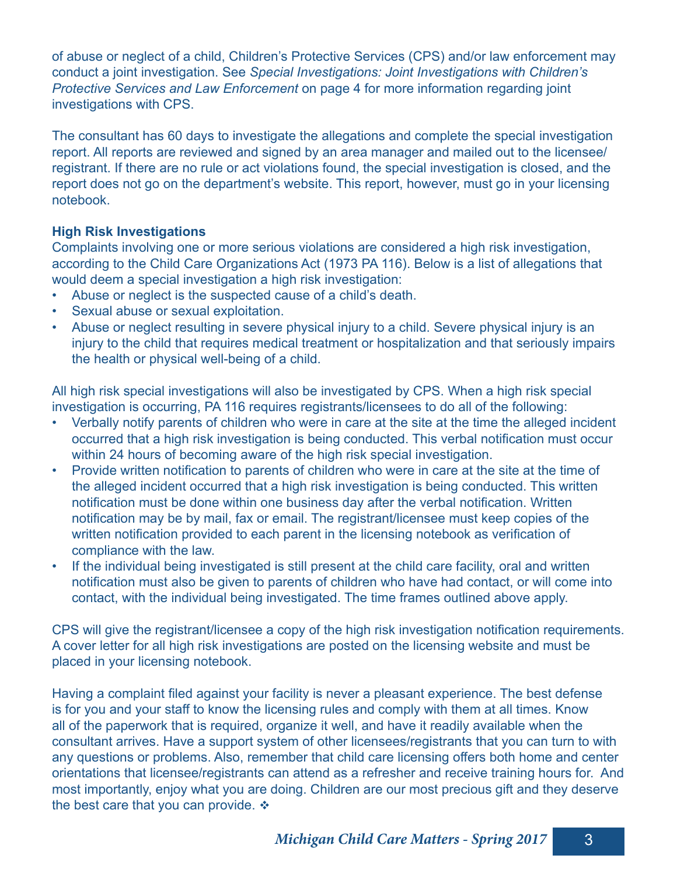of abuse or neglect of a child, Children's Protective Services (CPS) and/or law enforcement may conduct a joint investigation. See *Special Investigations: Joint Investigations with Children's Protective Services and Law Enforcement* on page 4 for more information regarding joint investigations with CPS.

The consultant has 60 days to investigate the allegations and complete the special investigation report. All reports are reviewed and signed by an area manager and mailed out to the licensee/ registrant. If there are no rule or act violations found, the special investigation is closed, and the report does not go on the department's website. This report, however, must go in your licensing notebook.

### **High Risk Investigations**

Complaints involving one or more serious violations are considered a high risk investigation, according to the Child Care Organizations Act (1973 PA 116). Below is a list of allegations that would deem a special investigation a high risk investigation:

- Abuse or neglect is the suspected cause of a child's death.
- Sexual abuse or sexual exploitation.
- Abuse or neglect resulting in severe physical injury to a child. Severe physical injury is an injury to the child that requires medical treatment or hospitalization and that seriously impairs the health or physical well-being of a child.

All high risk special investigations will also be investigated by CPS. When a high risk special investigation is occurring, PA 116 requires registrants/licensees to do all of the following:

- Verbally notify parents of children who were in care at the site at the time the alleged incident occurred that a high risk investigation is being conducted. This verbal notification must occur within 24 hours of becoming aware of the high risk special investigation.
- Provide written notification to parents of children who were in care at the site at the time of the alleged incident occurred that a high risk investigation is being conducted. This written notification must be done within one business day after the verbal notification. Written notification may be by mail, fax or email. The registrant/licensee must keep copies of the written notification provided to each parent in the licensing notebook as verification of compliance with the law.
- If the individual being investigated is still present at the child care facility, oral and written notification must also be given to parents of children who have had contact, or will come into contact, with the individual being investigated. The time frames outlined above apply.

CPS will give the registrant/licensee a copy of the high risk investigation notification requirements. A cover letter for all high risk investigations are posted on the licensing website and must be placed in your licensing notebook.

Having a complaint filed against your facility is never a pleasant experience. The best defense is for you and your staff to know the licensing rules and comply with them at all times. Know all of the paperwork that is required, organize it well, and have it readily available when the consultant arrives. Have a support system of other licensees/registrants that you can turn to with any questions or problems. Also, remember that child care licensing offers both home and center orientations that licensee/registrants can attend as a refresher and receive training hours for. And most importantly, enjoy what you are doing. Children are our most precious gift and they deserve the best care that you can provide.  $\div$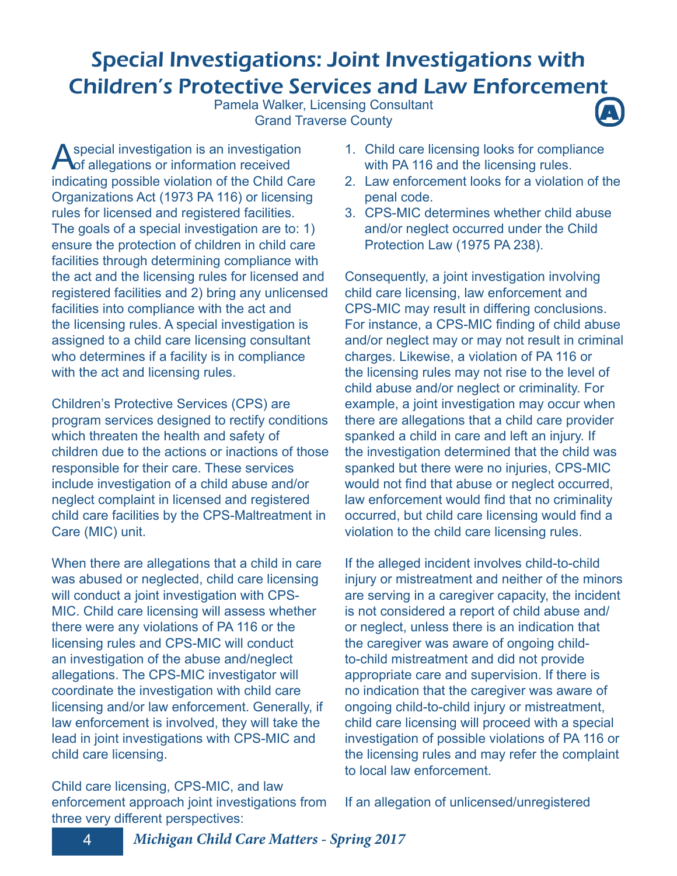### Special Investigations: Joint Investigations with Children's Protective Services and Law Enforcement

Pamela Walker, Licensing Consultant **Grand Traverse County** 



A special investigation is an investigation<br>
of allegations or information received indicating possible violation of the Child Care Organizations Act (1973 PA 116) or licensing rules for licensed and registered facilities. The goals of a special investigation are to: 1) ensure the protection of children in child care facilities through determining compliance with the act and the licensing rules for licensed and registered facilities and 2) bring any unlicensed facilities into compliance with the act and the licensing rules. A special investigation is assigned to a child care licensing consultant who determines if a facility is in compliance with the act and licensing rules.

Children's Protective Services (CPS) are program services designed to rectify conditions which threaten the health and safety of children due to the actions or inactions of those responsible for their care. These services include investigation of a child abuse and/or neglect complaint in licensed and registered child care facilities by the CPS-Maltreatment in Care (MIC) unit.

When there are allegations that a child in care was abused or neglected, child care licensing will conduct a joint investigation with CPS-MIC. Child care licensing will assess whether there were any violations of PA 116 or the licensing rules and CPS-MIC will conduct an investigation of the abuse and/neglect allegations. The CPS-MIC investigator will coordinate the investigation with child care licensing and/or law enforcement. Generally, if law enforcement is involved, they will take the lead in joint investigations with CPS-MIC and child care licensing.

Child care licensing, CPS-MIC, and law enforcement approach joint investigations from three very different perspectives:

- 1. Child care licensing looks for compliance with PA 116 and the licensing rules.
- 2. Law enforcement looks for a violation of the penal code.
- 3. CPS-MIC determines whether child abuse and/or neglect occurred under the Child Protection Law (1975 PA 238).

Consequently, a joint investigation involving child care licensing, law enforcement and CPS-MIC may result in differing conclusions. For instance, a CPS-MIC finding of child abuse and/or neglect may or may not result in criminal charges. Likewise, a violation of PA 116 or the licensing rules may not rise to the level of child abuse and/or neglect or criminality. For example, a joint investigation may occur when there are allegations that a child care provider spanked a child in care and left an injury. If the investigation determined that the child was spanked but there were no injuries, CPS-MIC would not find that abuse or neglect occurred, law enforcement would find that no criminality occurred, but child care licensing would find a violation to the child care licensing rules.

If the alleged incident involves child-to-child injury or mistreatment and neither of the minors are serving in a caregiver capacity, the incident is not considered a report of child abuse and/ or neglect, unless there is an indication that the caregiver was aware of ongoing childto-child mistreatment and did not provide appropriate care and supervision. If there is no indication that the caregiver was aware of ongoing child-to-child injury or mistreatment, child care licensing will proceed with a special investigation of possible violations of PA 116 or the licensing rules and may refer the complaint to local law enforcement.

If an allegation of unlicensed/unregistered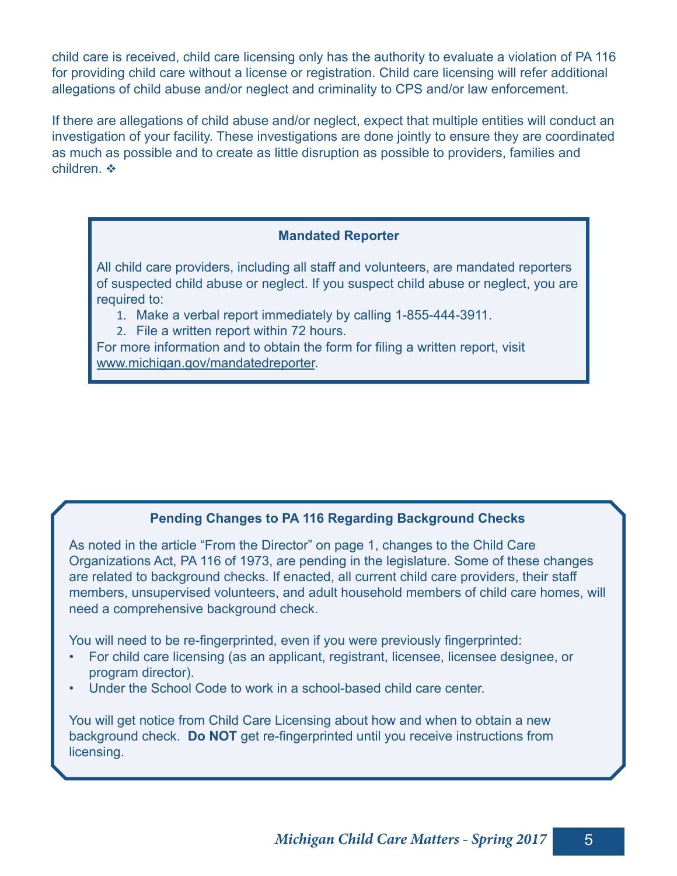child care is received, child care licensing only has the authority to evaluate a violation of PA 116 for providing child care without a license or registration. Child care licensing will refer additional allegations of child abuse and/or neglect and criminality to CPS and/or law enforcement.

If there are allegations of child abuse and/or neglect, expect that multiple entities will conduct an investigation of your facility. These investigations are done jointly to ensure they are coordinated as much as possible and to create as little disruption as possible to providers, families and children.  $\cdot \cdot$ 

#### **Mandated Reporter**

All child care providers, including all staff and volunteers, are mandated reporters of suspected child abuse or neglect. If you suspect child abuse or neglect, you are required to:

- 1. Make a verbal report immediately by calling 1-855-444-3911.
- 2. File a written report within 72 hours.

For more information and to obtain the form for filing a written report, visit www.michigan.gov/mandatedreporter.

### **Pending Changes to PA 116 Regarding Background Checks**

As noted in the article "From the Director" on page 1, changes to the Child Care Organizations Act, PA 116 of 1973, are pending in the legislature. Some of these changes are related to background checks. If enacted, all current child care providers, their staff members, unsupervised volunteers , and adult household members of child care homes, will need a comprehensive background check.

You will need to be re-fingerprinted, even if you were previously fingerprinted:

- For child care licensing (as an applicant, registrant, licensee, licensee designee, or program director).
- Under the School Code to work in a school-based child care center.

You will get notice from Child Care Licensing about how and when to obtain a new background check. **Do NOT** get re-fingerprinted until you receive instructions from licensing.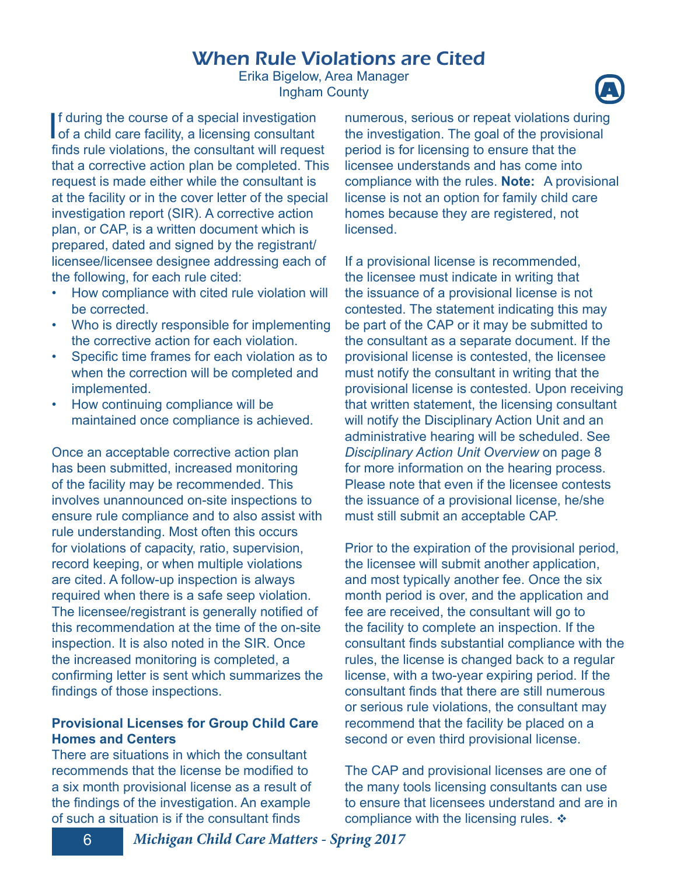### When Rule Violations are Cited

Erika Bigelow, Area Manager **Ingham County** 

If during the course of a special investigation<br>of a child care facility, a licensing consultant f during the course of a special investigation finds rule violations, the consultant will request that a corrective action plan be completed. This request is made either while the consultant is at the facility or in the cover letter of the special investigation report (SIR). A corrective action plan, or CAP, is a written document which is prepared, dated and signed by the registrant/ licensee/licensee designee addressing each of the following, for each rule cited:

- How compliance with cited rule violation will be corrected.
- Who is directly responsible for implementing the corrective action for each violation.
- Specific time frames for each violation as to when the correction will be completed and implemented.
- How continuing compliance will be maintained once compliance is achieved.

Once an acceptable corrective action plan has been submitted, increased monitoring of the facility may be recommended. This involves unannounced on-site inspections to ensure rule compliance and to also assist with rule understanding. Most often this occurs for violations of capacity, ratio, supervision, record keeping, or when multiple violations are cited. A follow-up inspection is always required when there is a safe seep violation. The licensee/registrant is generally notified of this recommendation at the time of the on-site inspection. It is also noted in the SIR. Once the increased monitoring is completed, a confirming letter is sent which summarizes the findings of those inspections.

### **Provisional Licenses for Group Child Care Homes and Centers**

There are situations in which the consultant recommends that the license be modified to a six month provisional license as a result of the findings of the investigation. An example of such a situation is if the consultant finds

numerous, serious or repeat violations during the investigation. The goal of the provisional period is for licensing to ensure that the licensee understands and has come into compliance with the rules. **Note:** A provisional license is not an option for family child care homes because they are registered, not **licensed** 

If a provisional license is recommended, the licensee must indicate in writing that the issuance of a provisional license is not contested. The statement indicating this may be part of the CAP or it may be submitted to the consultant as a separate document. If the provisional license is contested, the licensee must notify the consultant in writing that the provisional license is contested. Upon receiving that written statement, the licensing consultant will notify the Disciplinary Action Unit and an administrative hearing will be scheduled. See *Disciplinary Action Unit Overview* on page 8 for more information on the hearing process. Please note that even if the licensee contests the issuance of a provisional license, he/she must still submit an acceptable CAP.

Prior to the expiration of the provisional period, the licensee will submit another application, and most typically another fee. Once the six month period is over, and the application and fee are received, the consultant will go to the facility to complete an inspection. If the consultant finds substantial compliance with the rules, the license is changed back to a regular license, with a two-year expiring period. If the consultant finds that there are still numerous or serious rule violations, the consultant may recommend that the facility be placed on a second or even third provisional license.

The CAP and provisional licenses are one of the many tools licensing consultants can use to ensure that licensees understand and are in compliance with the licensing rules.  $\triangle$ 

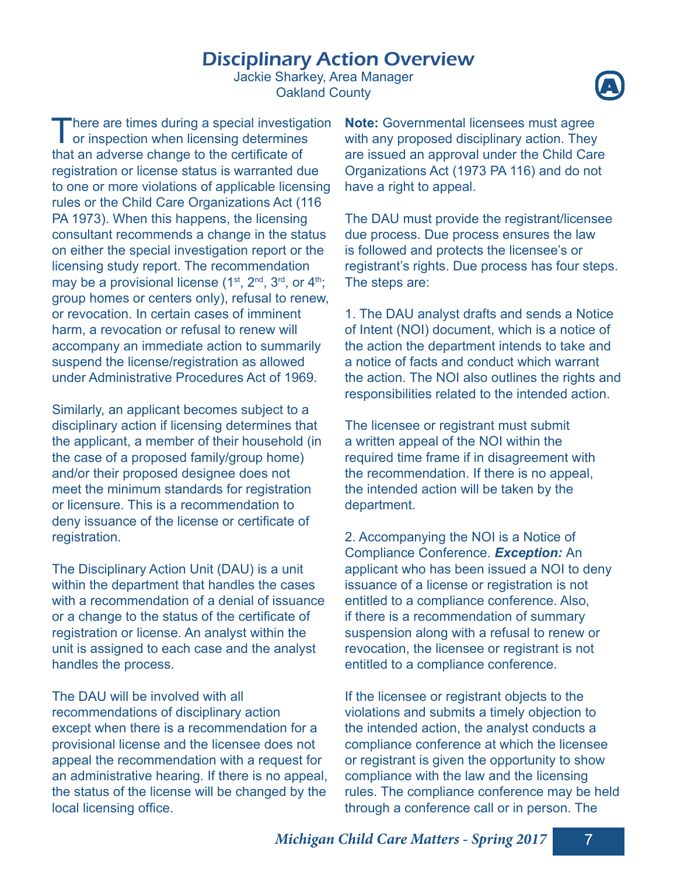### Disciplinary Action Overview

Jackie Sharkey, Area Manager **Oakland County** 



 $\prod_{\alpha\in\mathcal{A}}$ here are times during a special investigation or inspection when licensing determines that an adverse change to the certificate of registration or license status is warranted due to one or more violations of applicable licensing rules or the Child Care Organizations Act (116 PA 1973). When this happens, the licensing consultant recommends a change in the status on either the special investigation report or the licensing study report. The recommendation may be a provisional license  $(1^{st}, 2^{nd}, 3^{rd}, or 4^{th})$ ; group homes or centers only), refusal to renew, or revocation. In certain cases of imminent harm, a revocation or refusal to renew will accompany an immediate action to summarily suspend the license/registration as allowed under Administrative Procedures Act of 1969.

Similarly, an applicant becomes subject to a disciplinary action if licensing determines that the applicant, a member of their household (in the case of a proposed family/group home) and/or their proposed designee does not meet the minimum standards for registration or licensure. This is a recommendation to deny issuance of the license or certificate of registration.

The Disciplinary Action Unit (DAU) is a unit within the department that handles the cases with a recommendation of a denial of issuance or a change to the status of the certificate of registration or license. An analyst within the unit is assigned to each case and the analyst handles the process.

The DAU will be involved with all recommendations of disciplinary action except when there is a recommendation for a provisional license and the licensee does not appeal the recommendation with a request for an administrative hearing. If there is no appeal, the status of the license will be changed by the local licensing office.

**Note:** Governmental licensees must agree with any proposed disciplinary action. They are issued an approval under the Child Care Organizations Act (1973 PA 116) and do not have a right to appeal.

The DAU must provide the registrant/licensee due process. Due process ensures the law is followed and protects the licensee's or registrant's rights. Due process has four steps. The steps are:

1. The DAU analyst drafts and sends a Notice of Intent (NOI) document, which is a notice of the action the department intends to take and a notice of facts and conduct which warrant the action. The NOI also outlines the rights and responsibilities related to the intended action.

The licensee or registrant must submit a written appeal of the NOI within the required time frame if in disagreement with the recommendation. If there is no appeal, the intended action will be taken by the department.

2. Accompanying the NOI is a Notice of Compliance Conference. *Exception:* An applicant who has been issued a NOI to deny issuance of a license or registration is not entitled to a compliance conference. Also, if there is a recommendation of summary suspension along with a refusal to renew or revocation, the licensee or registrant is not entitled to a compliance conference.

If the licensee or registrant objects to the violations and submits a timely objection to the intended action, the analyst conducts a compliance conference at which the licensee or registrant is given the opportunity to show compliance with the law and the licensing rules. The compliance conference may be held through a conference call or in person. The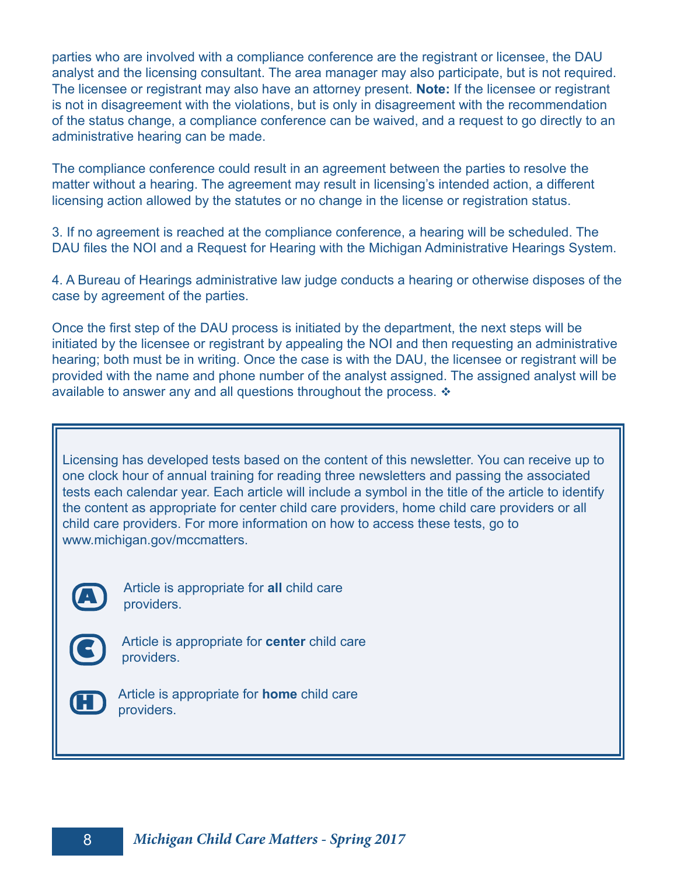parties who are involved with a compliance conference are the registrant or licensee, the DAU analyst and the licensing consultant. The area manager may also participate, but is not required. The licensee or registrant may also have an attorney present. **Note:** If the licensee or registrant is not in disagreement with the violations, but is only in disagreement with the recommendation of the status change, a compliance conference can be waived, and a request to go directly to an administrative hearing can be made.

The compliance conference could result in an agreement between the parties to resolve the matter without a hearing. The agreement may result in licensing's intended action, a different licensing action allowed by the statutes or no change in the license or registration status.

3. If no agreement is reached at the compliance conference, a hearing will be scheduled. The DAU files the NOI and a Request for Hearing with the Michigan Administrative Hearings System.

4. A Bureau of Hearings administrative law judge conducts a hearing or otherwise disposes of the case by agreement of the parties.

Once the first step of the DAU process is initiated by the department, the next steps will be initiated by the licensee or registrant by appealing the NOI and then requesting an administrative hearing; both must be in writing. Once the case is with the DAU, the licensee or registrant will be provided with the name and phone number of the analyst assigned. The assigned analyst will be available to answer any and all questions throughout the process.  $\cdot\cdot\cdot$ 

Licensing has developed tests based on the content of this newsletter. You can receive up to one clock hour of annual training for reading three newsletters and passing the associated tests each calendar year. Each article will include a symbol in the title of the article to identify the content as appropriate for center child care providers, home child care providers or all child care providers. For more information on how to access these tests, go to www.michigan.gov/mccmatters.



Article is appropriate for **all** child care providers.



Article is appropriate for **center** child care providers.



Article is appropriate for **home** child care providers.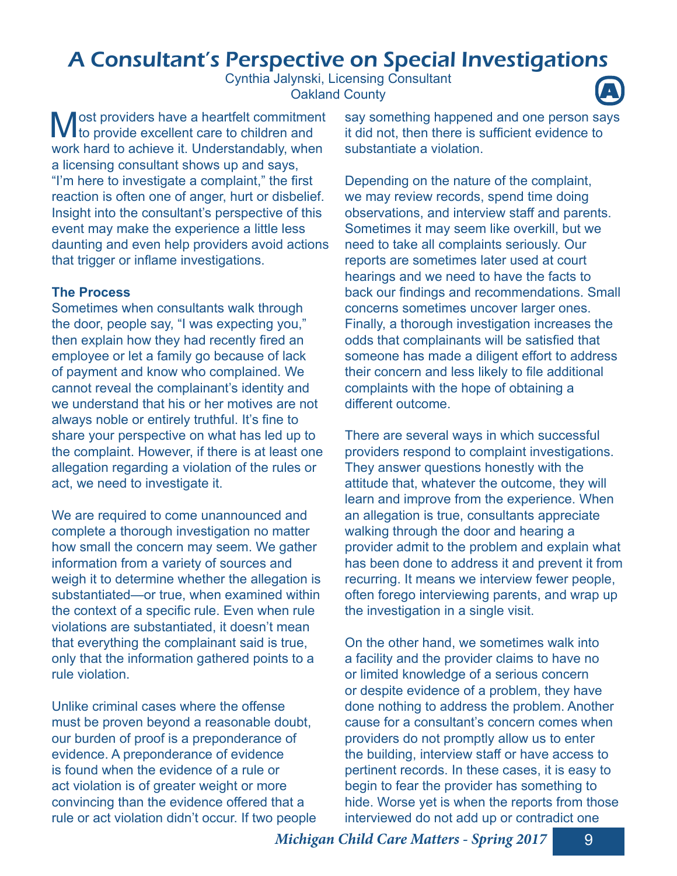### A Consultant's Perspective on Special Investigations

Cynthia Jalynski, Licensing Consultant **Oakland County** 



**M** ost providers have a heartfelt commitment<br>to provide excellent care to children and to provide excellent care to children and work hard to achieve it. Understandably, when a licensing consultant shows up and says, "I'm here to investigate a complaint," the first reaction is often one of anger, hurt or disbelief. Insight into the consultant's perspective of this event may make the experience a little less daunting and even help providers avoid actions that trigger or inflame investigations.

### **The Process**

Sometimes when consultants walk through the door, people say, "I was expecting you," then explain how they had recently fired an employee or let a family go because of lack of payment and know who complained. We cannot reveal the complainant's identity and we understand that his or her motives are not always noble or entirely truthful. It's fine to share your perspective on what has led up to the complaint. However, if there is at least one allegation regarding a violation of the rules or act, we need to investigate it.

We are required to come unannounced and complete a thorough investigation no matter how small the concern may seem. We gather information from a variety of sources and weigh it to determine whether the allegation is substantiated—or true, when examined within the context of a specific rule. Even when rule violations are substantiated, it doesn't mean that everything the complainant said is true, only that the information gathered points to a rule violation.

Unlike criminal cases where the offense must be proven beyond a reasonable doubt, our burden of proof is a preponderance of evidence. A preponderance of evidence is found when the evidence of a rule or act violation is of greater weight or more convincing than the evidence offered that a rule or act violation didn't occur. If two people say something happened and one person says it did not, then there is sufficient evidence to substantiate a violation.

Depending on the nature of the complaint, we may review records, spend time doing observations, and interview staff and parents. Sometimes it may seem like overkill, but we need to take all complaints seriously. Our reports are sometimes later used at court hearings and we need to have the facts to back our findings and recommendations. Small concerns sometimes uncover larger ones. Finally, a thorough investigation increases the odds that complainants will be satisfied that someone has made a diligent effort to address their concern and less likely to file additional complaints with the hope of obtaining a different outcome.

There are several ways in which successful providers respond to complaint investigations. They answer questions honestly with the attitude that, whatever the outcome, they will learn and improve from the experience. When an allegation is true, consultants appreciate walking through the door and hearing a provider admit to the problem and explain what has been done to address it and prevent it from recurring. It means we interview fewer people, often forego interviewing parents, and wrap up the investigation in a single visit.

On the other hand, we sometimes walk into a facility and the provider claims to have no or limited knowledge of a serious concern or despite evidence of a problem, they have done nothing to address the problem. Another cause for a consultant's concern comes when providers do not promptly allow us to enter the building, interview staff or have access to pertinent records. In these cases, it is easy to begin to fear the provider has something to hide. Worse yet is when the reports from those interviewed do not add up or contradict one

**Michigan Child Care Matters - Spring 2017** 9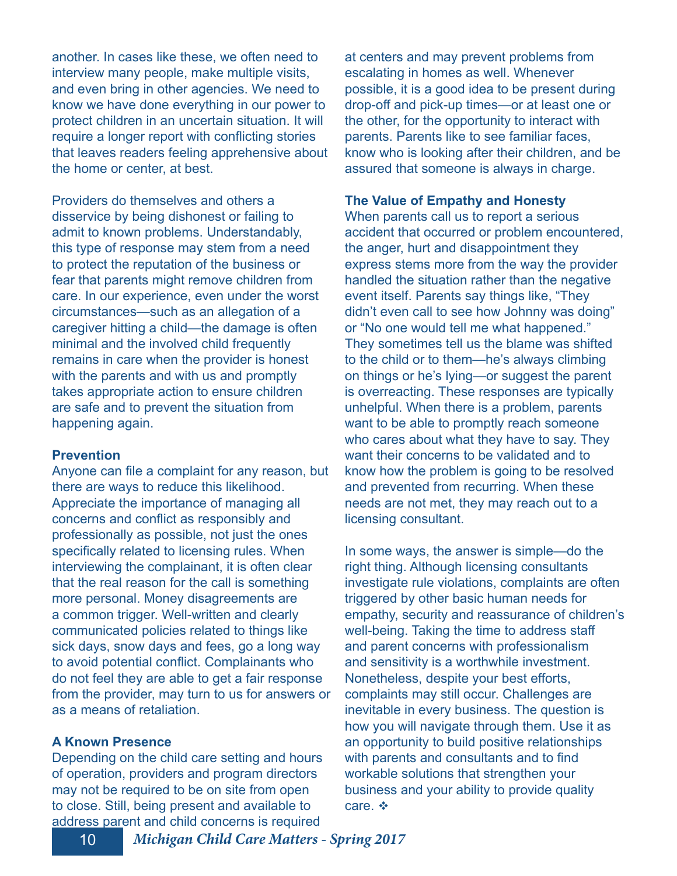another. In cases like these, we often need to interview many people, make multiple visits, and even bring in other agencies. We need to know we have done everything in our power to protect children in an uncertain situation. It will require a longer report with conflicting stories that leaves readers feeling apprehensive about the home or center, at best.

Providers do themselves and others a disservice by being dishonest or failing to admit to known problems. Understandably, this type of response may stem from a need to protect the reputation of the business or fear that parents might remove children from care. In our experience, even under the worst circumstances—such as an allegation of a caregiver hitting a child—the damage is often minimal and the involved child frequently remains in care when the provider is honest with the parents and with us and promptly takes appropriate action to ensure children are safe and to prevent the situation from happening again.

#### **Prevention**

Anyone can file a complaint for any reason, but there are ways to reduce this likelihood. Appreciate the importance of managing all concerns and conflict as responsibly and professionally as possible, not just the ones specifically related to licensing rules. When interviewing the complainant, it is often clear that the real reason for the call is something more personal. Money disagreements are a common trigger. Well-written and clearly communicated policies related to things like sick days, snow days and fees, go a long way to avoid potential conflict. Complainants who do not feel they are able to get a fair response from the provider, may turn to us for answers or as a means of retaliation.

### **A Known Presence**

Depending on the child care setting and hours of operation, providers and program directors may not be required to be on site from open to close. Still, being present and available to address parent and child concerns is required

at centers and may prevent problems from escalating in homes as well. Whenever possible, it is a good idea to be present during drop-off and pick-up times—or at least one or the other, for the opportunity to interact with parents. Parents like to see familiar faces, know who is looking after their children, and be assured that someone is always in charge.

#### **The Value of Empathy and Honesty**

When parents call us to report a serious accident that occurred or problem encountered, the anger, hurt and disappointment they express stems more from the way the provider handled the situation rather than the negative event itself. Parents say things like, "They didn't even call to see how Johnny was doing" or "No one would tell me what happened." They sometimes tell us the blame was shifted to the child or to them—he's always climbing on things or he's lying—or suggest the parent is overreacting. These responses are typically unhelpful. When there is a problem, parents want to be able to promptly reach someone who cares about what they have to say. They want their concerns to be validated and to know how the problem is going to be resolved and prevented from recurring. When these needs are not met, they may reach out to a licensing consultant.

In some ways, the answer is simple—do the right thing. Although licensing consultants investigate rule violations, complaints are often triggered by other basic human needs for empathy, security and reassurance of children's well-being. Taking the time to address staff and parent concerns with professionalism and sensitivity is a worthwhile investment. Nonetheless, despite your best efforts, complaints may still occur. Challenges are inevitable in every business. The question is how you will navigate through them. Use it as an opportunity to build positive relationships with parents and consultants and to find workable solutions that strengthen your business and your ability to provide quality care. ❖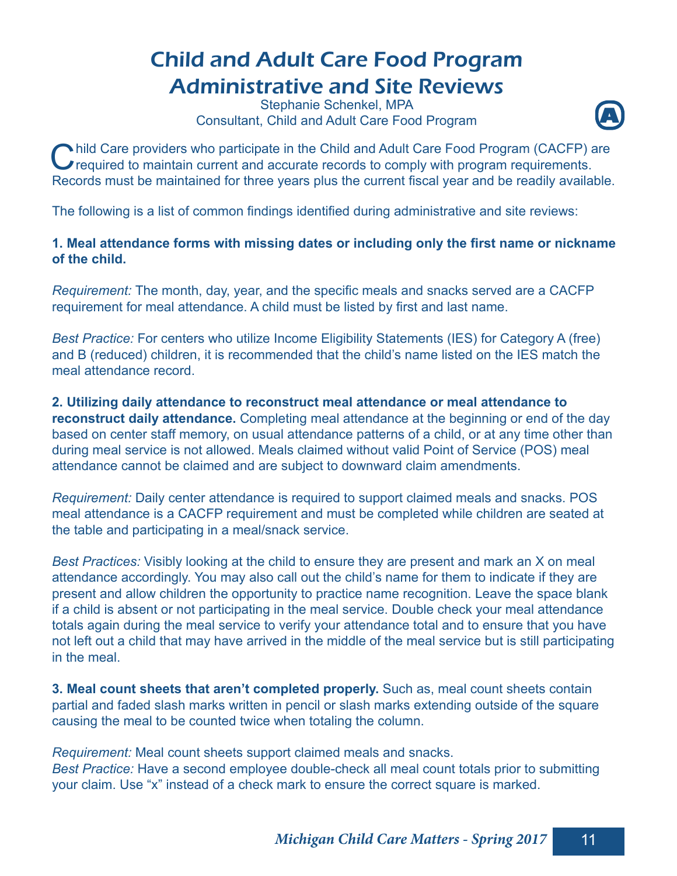### Child and Adult Care Food Program Administrative and Site Reviews

Stephanie Schenkel, MPA **Consultant, Child and Adult Care Food Program** 



Child Care providers who participate in the Child and Adult Care Food Program (CACFP) and required to maintain current and accurate records to comply with program requirements. hild Care providers who participate in the Child and Adult Care Food Program (CACFP) are Records must be maintained for three years plus the current fiscal year and be readily available.

The following is a list of common findings identified during administrative and site reviews:

### 1. Meal attendance forms with missing dates or including only the first name or nickname **of the child.**

*Requirement:* The month, day, year, and the specific meals and snacks served are a CACFP requirement for meal attendance. A child must be listed by first and last name.

*Best Practice:* For centers who utilize Income Eligibility Statements (IES) for Category A (free) and B (reduced) children, it is recommended that the child's name listed on the IES match the meal attendance record.

**2. Utilizing daily attendance to reconstruct meal attendance or meal attendance to reconstruct daily attendance.** Completing meal attendance at the beginning or end of the day based on center staff memory, on usual attendance patterns of a child, or at any time other than during meal service is not allowed. Meals claimed without valid Point of Service (POS) meal attendance cannot be claimed and are subject to downward claim amendments.

*Requirement:* Daily center attendance is required to support claimed meals and snacks. POS meal attendance is a CACFP requirement and must be completed while children are seated at the table and participating in a meal/snack service.

*Best Practices:* Visibly looking at the child to ensure they are present and mark an X on meal attendance accordingly. You may also call out the child's name for them to indicate if they are present and allow children the opportunity to practice name recognition. Leave the space blank if a child is absent or not participating in the meal service. Double check your meal attendance totals again during the meal service to verify your attendance total and to ensure that you have not left out a child that may have arrived in the middle of the meal service but is still participating in the meal.

**3. Meal count sheets that aren't completed properly.** Such as, meal count sheets contain partial and faded slash marks written in pencil or slash marks extending outside of the square causing the meal to be counted twice when totaling the column.

*Requirement:* Meal count sheets support claimed meals and snacks. *Best Practice:* Have a second employee double-check all meal count totals prior to submitting your claim. Use "x" instead of a check mark to ensure the correct square is marked.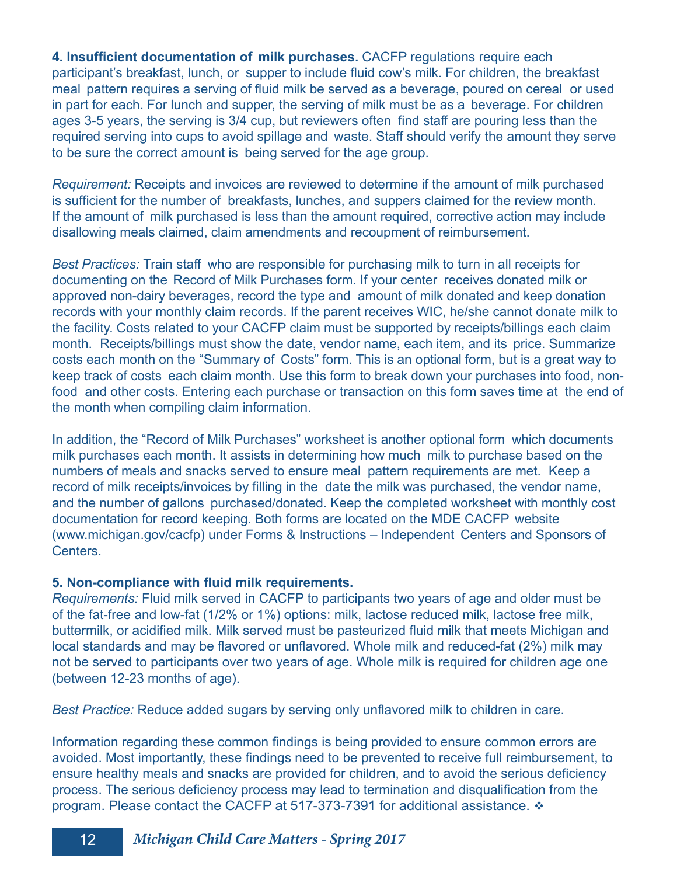**4. Insufficient documentation of milk purchases.** CACFP regulations require each participant's breakfast, lunch, or supper to include fluid cow's milk. For children, the breakfast meal pattern requires a serving of fluid milk be served as a beverage, poured on cereal or used in part for each. For lunch and supper, the serving of milk must be as a beverage. For children ages 3-5 years, the serving is 3/4 cup, but reviewers often find staff are pouring less than the required serving into cups to avoid spillage and waste. Staff should verify the amount they serve to be sure the correct amount is being served for the age group.

*Requirement:* Receipts and invoices are reviewed to determine if the amount of milk purchased is sufficient for the number of breakfasts, lunches, and suppers claimed for the review month. If the amount of milk purchased is less than the amount required, corrective action may include disallowing meals claimed, claim amendments and recoupment of reimbursement.

*Best Practices:* Train staff who are responsible for purchasing milk to turn in all receipts for documenting on the Record of Milk Purchases form. If your center receives donated milk or approved non-dairy beverages, record the type and amount of milk donated and keep donation records with your monthly claim records. If the parent receives WIC, he/she cannot donate milk to the facility. Costs related to your CACFP claim must be supported by receipts/billings each claim month. Receipts/billings must show the date, vendor name, each item, and its price. Summarize costs each month on the "Summary of Costs" form. This is an optional form, but is a great way to keep track of costs each claim month. Use this form to break down your purchases into food, nonfood and other costs. Entering each purchase or transaction on this form saves time at the end of the month when compiling claim information.

In addition, the "Record of Milk Purchases" worksheet is another optional form which documents milk purchases each month. It assists in determining how much milk to purchase based on the numbers of meals and snacks served to ensure meal pattern requirements are met. Keep a record of milk receipts/invoices by filling in the date the milk was purchased, the vendor name, and the number of gallons purchased/donated. Keep the completed worksheet with monthly cost documentation for record keeping. Both forms are located on the MDE CACFP website (www.michigan.gov/cacfp) under Forms & Instructions – Independent Centers and Sponsors of Centers.

#### **5. Non-compliance with fluid milk requirements.**

*Requirements:* Fluid milk served in CACFP to participants two years of age and older must be of the fat-free and low-fat (1/2% or 1%) options: milk, lactose reduced milk, lactose free milk, buttermilk, or acidified milk. Milk served must be pasteurized fluid milk that meets Michigan and local standards and may be flavored or unflavored. Whole milk and reduced-fat (2%) milk may not be served to participants over two years of age. Whole milk is required for children age one (between 12-23 months of age).

*Best Practice:* Reduce added sugars by serving only unflavored milk to children in care.

Information regarding these common findings is being provided to ensure common errors are avoided. Most importantly, these findings need to be prevented to receive full reimbursement, to ensure healthy meals and snacks are provided for children, and to avoid the serious deficiency process. The serious deficiency process may lead to termination and disqualification from the program. Please contact the CACFP at 517-373-7391 for additional assistance.  $\cdot$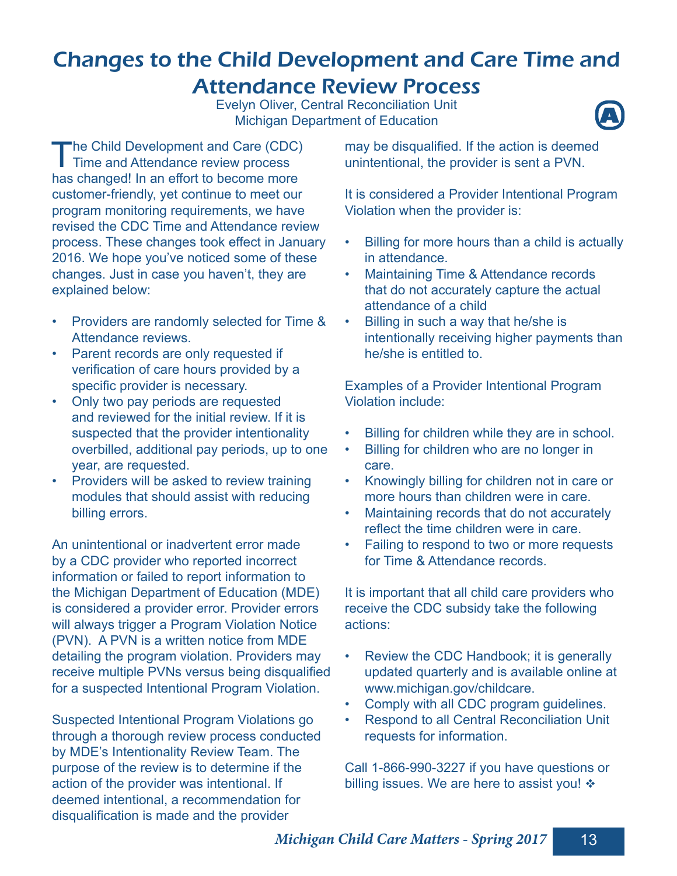### Changes to the Child Development and Care Time and Attendance Review Process

Evelyn Oliver, Central Reconciliation Unit **Michigan Department of Education** 



T he Child Development and Care (CDC) Time and Attendance review process has changed! In an effort to become more customer-friendly, yet continue to meet our program monitoring requirements, we have revised the CDC Time and Attendance review process. These changes took effect in January 2016. We hope you've noticed some of these changes. Just in case you haven't, they are explained below:

- Providers are randomly selected for Time & Attendance reviews.
- Parent records are only requested if verification of care hours provided by a specific provider is necessary.
- Only two pay periods are requested and reviewed for the initial review. If it is suspected that the provider intentionality overbilled, additional pay periods, up to one year, are requested.
- Providers will be asked to review training modules that should assist with reducing billing errors.

An unintentional or inadvertent error made by a CDC provider who reported incorrect information or failed to report information to the Michigan Department of Education (MDE) is considered a provider error. Provider errors will always trigger a Program Violation Notice (PVN). A PVN is a written notice from MDE detailing the program violation. Providers may receive multiple PVNs versus being disqualified for a suspected Intentional Program Violation.

Suspected Intentional Program Violations go through a thorough review process conducted by MDE's Intentionality Review Team. The purpose of the review is to determine if the action of the provider was intentional. If deemed intentional, a recommendation for disqualification is made and the provider

may be disqualified. If the action is deemed unintentional, the provider is sent a PVN.

It is considered a Provider Intentional Program Violation when the provider is:

- Billing for more hours than a child is actually in attendance.
- Maintaining Time & Attendance records that do not accurately capture the actual attendance of a child
- Billing in such a way that he/she is intentionally receiving higher payments than he/she is entitled to.

Examples of a Provider Intentional Program Violation include:

- Billing for children while they are in school.
- Billing for children who are no longer in care.
- Knowingly billing for children not in care or more hours than children were in care.
- Maintaining records that do not accurately reflect the time children were in care.
- Failing to respond to two or more requests for Time & Attendance records.

It is important that all child care providers who receive the CDC subsidy take the following actions:

- Review the CDC Handbook; it is generally updated quarterly and is available online at www.michigan.gov/childcare.
- Comply with all CDC program guidelines.
- Respond to all Central Reconciliation Unit requests for information.

Call 1-866-990-3227 if you have questions or billing issues. We are here to assist you!  $\triangle$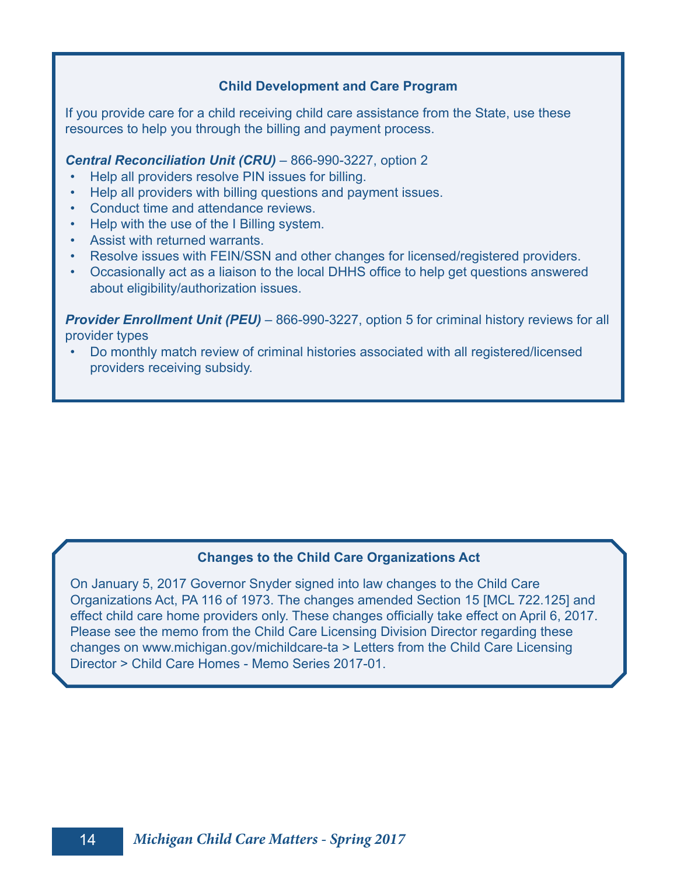#### **Child Development and Care Program**

If you provide care for a child receiving child care assistance from the State, use these resources to help you through the billing and payment process.

#### *Central Reconciliation Unit (CRU)* – 866-990-3227, option 2

- Help all providers resolve PIN issues for billing.
- Help all providers with billing questions and payment issues.
- Conduct time and attendance reviews.
- Help with the use of the I Billing system.
- Assist with returned warrants.
- Resolve issues with FEIN/SSN and other changes for licensed/registered providers.
- Occasionally act as a liaison to the local DHHS office to help get questions answered about eligibility/authorization issues.

**Provider Enrollment Unit (PEU)** – 866-990-3227, option 5 for criminal history reviews for all provider types

• Do monthly match review of criminal histories associated with all registered/licensed providers receiving subsidy.

#### **Changes to the Child Care Organizations Act**

On January 5, 2017 Governor Snyder signed into law changes to the Child Care Organizations Act, PA 116 of 1973. The changes amended Section 15 [MCL 722.125] and effect child care home providers only. These changes officially take effect on April 6, 2017. Please see the memo from the Child Care Licensing Division Director regarding these changes on www.michigan.gov/michildcare-ta > Letters from the Child Care Licensing Director > Child Care Homes - Memo Series 2017-01.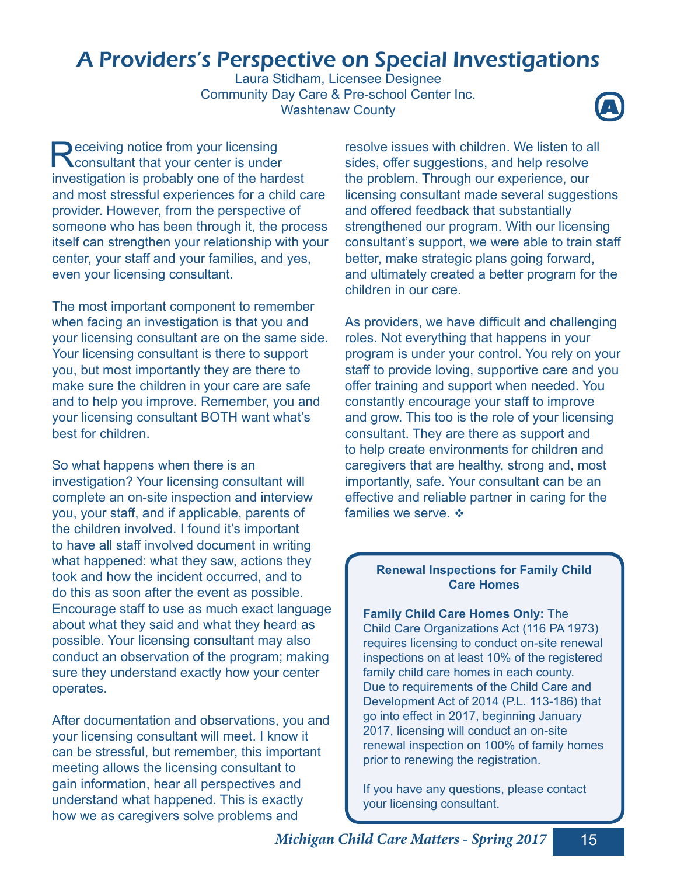### A Providers's Perspective on Special Investigations

Laura Stidham, Licensee Designee Community Day Care & Pre-school Center Inc. **Washtenaw County** 



Receiving notice from your licensing<br>
Reconsultant that your center is under eceiving notice from your licensing investigation is probably one of the hardest and most stressful experiences for a child care provider. However, from the perspective of someone who has been through it, the process itself can strengthen your relationship with your center, your staff and your families, and yes, even your licensing consultant.

The most important component to remember when facing an investigation is that you and your licensing consultant are on the same side. Your licensing consultant is there to support you, but most importantly they are there to make sure the children in your care are safe and to help you improve. Remember, you and your licensing consultant BOTH want what's best for children.

So what happens when there is an investigation? Your licensing consultant will complete an on-site inspection and interview you, your staff, and if applicable, parents of the children involved. I found it's important to have all staff involved document in writing what happened: what they saw, actions they took and how the incident occurred, and to do this as soon after the event as possible. Encourage staff to use as much exact language about what they said and what they heard as possible. Your licensing consultant may also conduct an observation of the program; making sure they understand exactly how your center operates.

After documentation and observations, you and your licensing consultant will meet. I know it can be stressful, but remember, this important meeting allows the licensing consultant to gain information, hear all perspectives and understand what happened. This is exactly how we as caregivers solve problems and

resolve issues with children. We listen to all sides, offer suggestions, and help resolve the problem. Through our experience, our licensing consultant made several suggestions and offered feedback that substantially strengthened our program. With our licensing consultant's support, we were able to train staff better, make strategic plans going forward, and ultimately created a better program for the children in our care.

As providers, we have difficult and challenging roles. Not everything that happens in your program is under your control. You rely on your staff to provide loving, supportive care and you offer training and support when needed. You constantly encourage your staff to improve and grow. This too is the role of your licensing consultant. They are there as support and to help create environments for children and caregivers that are healthy, strong and, most importantly, safe. Your consultant can be an effective and reliable partner in caring for the families we serve.  $\cdot$ 

#### **Renewal Inspections for Family Child Care Homes**

**Family Child Care Homes Only:** The Child Care Organizations Act (116 PA 1973) requires licensing to conduct on-site renewal inspections on at least 10% of the registered family child care homes in each county. Due to requirements of the Child Care and Development Act of 2014 (P.L. 113-186) that go into effect in 2017, beginning January 2017, licensing will conduct an on-site renewal inspection on 100% of family homes prior to renewing the registration.

If you have any questions, please contact your licensing consultant.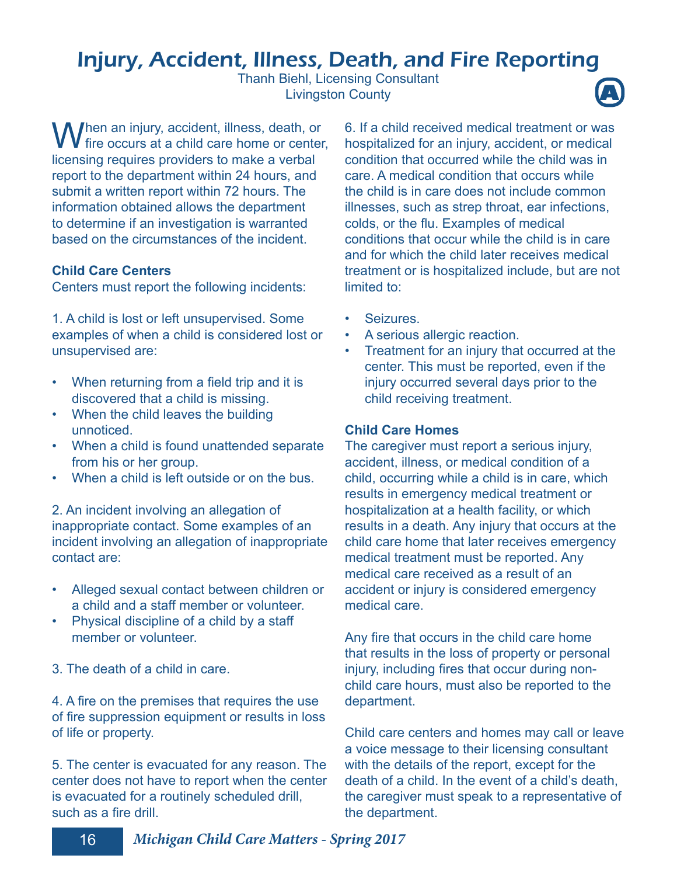### Injury, Accident, Illness, Death, and Fire Reporting

Thanh Biehl, Licensing Consultant **Livingston County** 



When an injury, accident, illness, death, or<br>
intervals at a child care home or center, licensing requires providers to make a verbal report to the department within 24 hours, and submit a written report within 72 hours. The information obtained allows the department to determine if an investigation is warranted based on the circumstances of the incident.

### **Child Care Centers**

Centers must report the following incidents:

1. A child is lost or left unsupervised. Some examples of when a child is considered lost or unsupervised are:

- When returning from a field trip and it is discovered that a child is missing.
- When the child leaves the building unnoticed.
- When a child is found unattended separate from his or her group.
- When a child is left outside or on the bus.

2. An incident involving an allegation of inappropriate contact. Some examples of an incident involving an allegation of inappropriate contact are:

- Alleged sexual contact between children or a child and a staff member or volunteer.
- Physical discipline of a child by a staff member or volunteer.
- 3. The death of a child in care.

4. A fire on the premises that requires the use of fire suppression equipment or results in loss of life or property.

5. The center is evacuated for any reason. The center does not have to report when the center is evacuated for a routinely scheduled drill, such as a fire drill.

6. If a child received medical treatment or was hospitalized for an injury, accident, or medical condition that occurred while the child was in care. A medical condition that occurs while the child is in care does not include common illnesses, such as strep throat, ear infections, colds, or the flu. Examples of medical conditions that occur while the child is in care and for which the child later receives medical treatment or is hospitalized include, but are not limited to:

- **Seizures**
- A serious allergic reaction.
- Treatment for an injury that occurred at the center. This must be reported, even if the injury occurred several days prior to the child receiving treatment.

#### **Child Care Homes**

The caregiver must report a serious injury, accident, illness, or medical condition of a child, occurring while a child is in care, which results in emergency medical treatment or hospitalization at a health facility, or which results in a death. Any injury that occurs at the child care home that later receives emergency medical treatment must be reported. Any medical care received as a result of an accident or injury is considered emergency medical care.

Any fire that occurs in the child care home that results in the loss of property or personal injury, including fires that occur during nonchild care hours, must also be reported to the department.

Child care centers and homes may call or leave a voice message to their licensing consultant with the details of the report, except for the death of a child. In the event of a child's death, the caregiver must speak to a representative of the department.